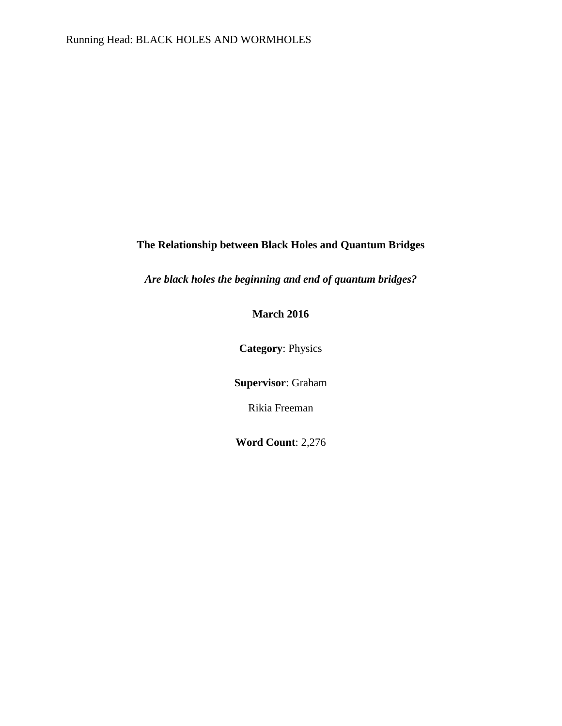# **The Relationship between Black Holes and Quantum Bridges**

*Are black holes the beginning and end of quantum bridges?*

# **March 2016**

**Category**: Physics

**Supervisor**: Graham

Rikia Freeman

**Word Count**: 2,276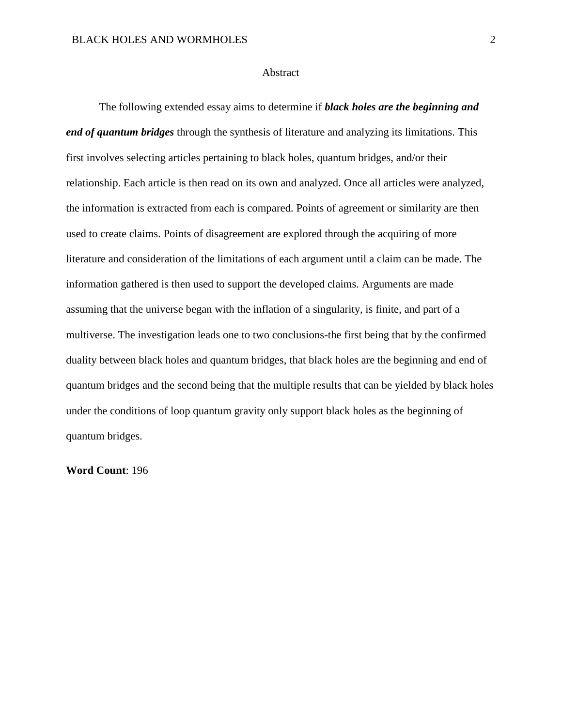#### **Abstract**

The following extended essay aims to determine if *black holes are the beginning and end of quantum bridges* through the synthesis of literature and analyzing its limitations. This first involves selecting articles pertaining to black holes, quantum bridges, and/or their relationship. Each article is then read on its own and analyzed. Once all articles were analyzed, the information is extracted from each is compared. Points of agreement or similarity are then used to create claims. Points of disagreement are explored through the acquiring of more literature and consideration of the limitations of each argument until a claim can be made. The information gathered is then used to support the developed claims. Arguments are made assuming that the universe began with the inflation of a singularity, is finite, and part of a multiverse. The investigation leads one to two conclusions-the first being that by the confirmed duality between black holes and quantum bridges, that black holes are the beginning and end of quantum bridges and the second being that the multiple results that can be yielded by black holes under the conditions of loop quantum gravity only support black holes as the beginning of quantum bridges.

**Word Count**: 196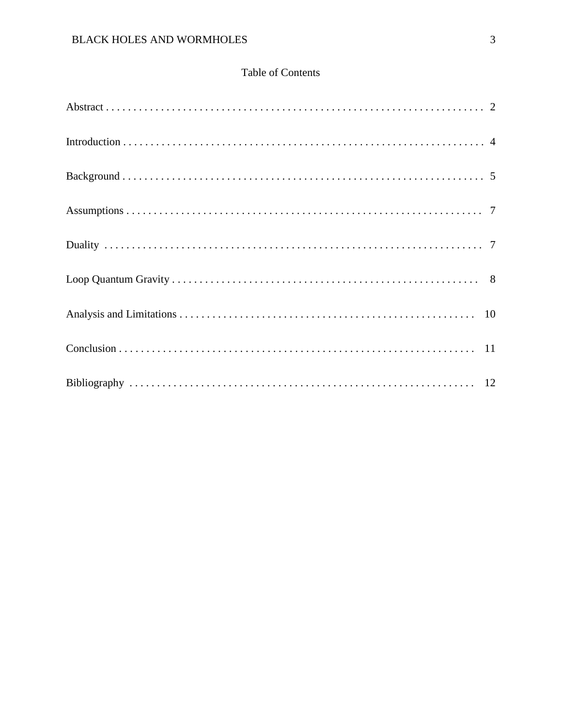# Table of Contents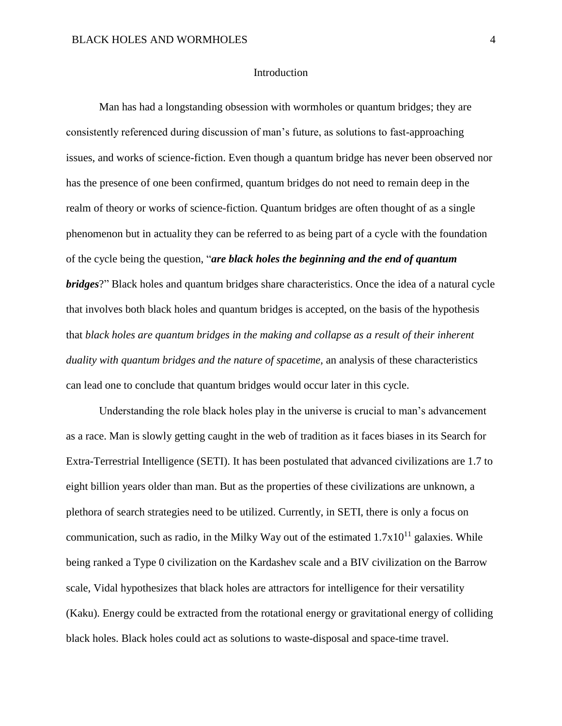#### Introduction

Man has had a longstanding obsession with wormholes or quantum bridges; they are consistently referenced during discussion of man's future, as solutions to fast-approaching issues, and works of science-fiction. Even though a quantum bridge has never been observed nor has the presence of one been confirmed, quantum bridges do not need to remain deep in the realm of theory or works of science-fiction. Quantum bridges are often thought of as a single phenomenon but in actuality they can be referred to as being part of a cycle with the foundation of the cycle being the question, "*are black holes the beginning and the end of quantum bridges*?" Black holes and quantum bridges share characteristics. Once the idea of a natural cycle that involves both black holes and quantum bridges is accepted, on the basis of the hypothesis that *black holes are quantum bridges in the making and collapse as a result of their inherent duality with quantum bridges and the nature of spacetime,* an analysis of these characteristics can lead one to conclude that quantum bridges would occur later in this cycle.

Understanding the role black holes play in the universe is crucial to man's advancement as a race. Man is slowly getting caught in the web of tradition as it faces biases in its Search for Extra-Terrestrial Intelligence (SETI). It has been postulated that advanced civilizations are 1.7 to eight billion years older than man. But as the properties of these civilizations are unknown, a plethora of search strategies need to be utilized. Currently, in SETI, there is only a focus on communication, such as radio, in the Milky Way out of the estimated  $1.7x10^{11}$  galaxies. While being ranked a Type 0 civilization on the Kardashev scale and a BIV civilization on the Barrow scale, Vidal hypothesizes that black holes are attractors for intelligence for their versatility (Kaku). Energy could be extracted from the rotational energy or gravitational energy of colliding black holes. Black holes could act as solutions to waste-disposal and space-time travel.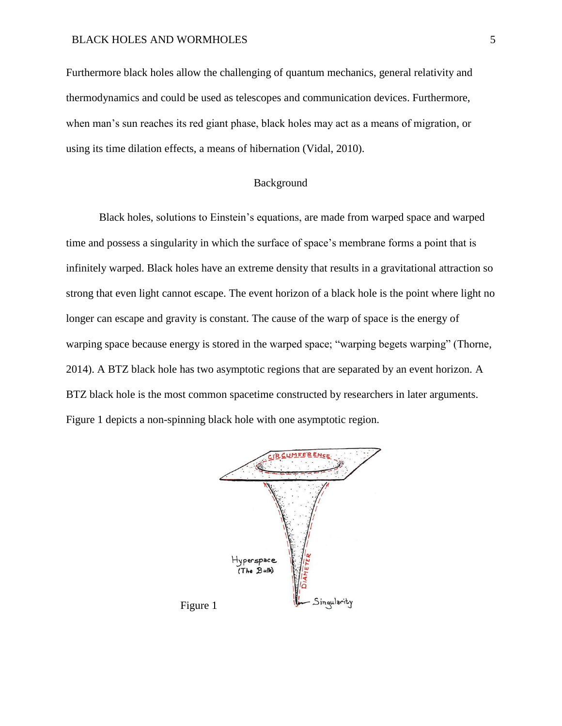Furthermore black holes allow the challenging of quantum mechanics, general relativity and thermodynamics and could be used as telescopes and communication devices. Furthermore, when man's sun reaches its red giant phase, black holes may act as a means of migration, or using its time dilation effects, a means of hibernation (Vidal, 2010).

## Background

Black holes, solutions to Einstein's equations, are made from warped space and warped time and possess a singularity in which the surface of space's membrane forms a point that is infinitely warped. Black holes have an extreme density that results in a gravitational attraction so strong that even light cannot escape. The event horizon of a black hole is the point where light no longer can escape and gravity is constant. The cause of the warp of space is the energy of warping space because energy is stored in the warped space; "warping begets warping" (Thorne, 2014). A BTZ black hole has two asymptotic regions that are separated by an event horizon. A BTZ black hole is the most common spacetime constructed by researchers in later arguments. Figure 1 depicts a non-spinning black hole with one asymptotic region.

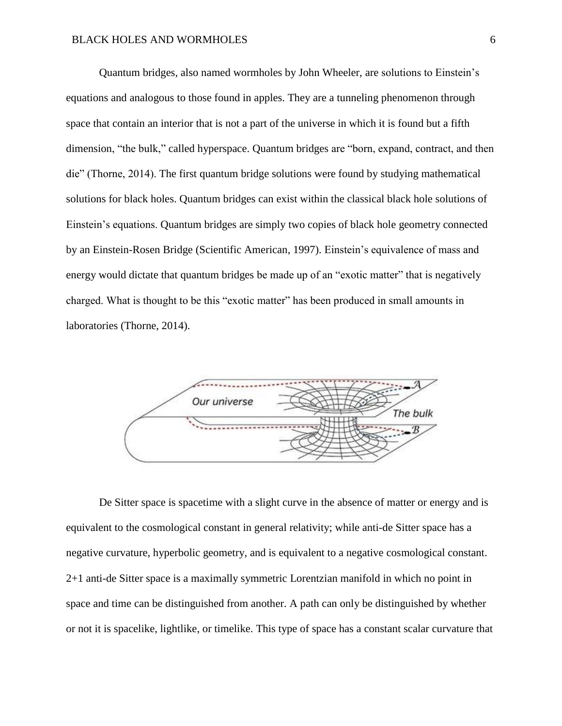Quantum bridges, also named wormholes by John Wheeler, are solutions to Einstein's equations and analogous to those found in apples. They are a tunneling phenomenon through space that contain an interior that is not a part of the universe in which it is found but a fifth dimension, "the bulk," called hyperspace. Quantum bridges are "born, expand, contract, and then die" (Thorne, 2014). The first quantum bridge solutions were found by studying mathematical solutions for black holes. Quantum bridges can exist within the classical black hole solutions of Einstein's equations. Quantum bridges are simply two copies of black hole geometry connected by an Einstein-Rosen Bridge (Scientific American, 1997). Einstein's equivalence of mass and energy would dictate that quantum bridges be made up of an "exotic matter" that is negatively charged. What is thought to be this "exotic matter" has been produced in small amounts in laboratories (Thorne, 2014).



De Sitter space is spacetime with a slight curve in the absence of matter or energy and is equivalent to the cosmological constant in general relativity; while anti-de Sitter space has a negative curvature, hyperbolic geometry, and is equivalent to a negative cosmological constant. 2+1 anti-de Sitter space is a maximally symmetric Lorentzian manifold in which no point in space and time can be distinguished from another. A path can only be distinguished by whether or not it is spacelike, lightlike, or timelike. This type of space has a constant scalar curvature that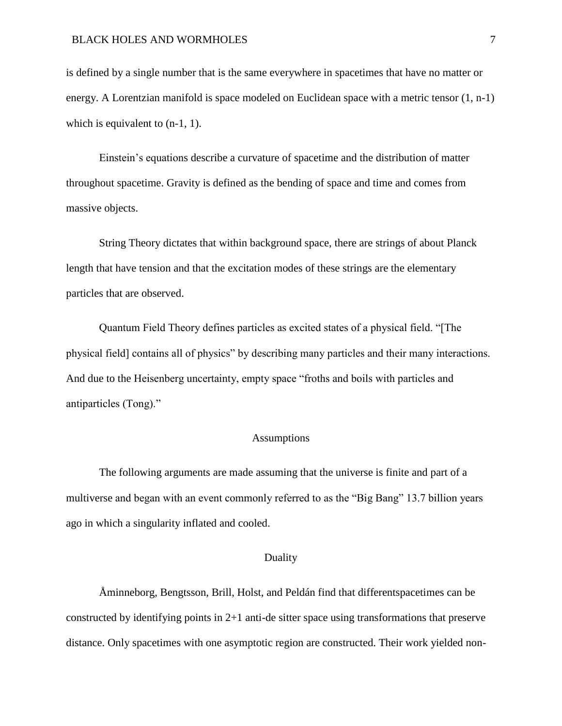#### BLACK HOLES AND WORMHOLES  $\overline{7}$

is defined by a single number that is the same everywhere in spacetimes that have no matter or energy. A Lorentzian manifold is space modeled on Euclidean space with a metric tensor (1, n-1) which is equivalent to  $(n-1, 1)$ .

Einstein's equations describe a curvature of spacetime and the distribution of matter throughout spacetime. Gravity is defined as the bending of space and time and comes from massive objects.

String Theory dictates that within background space, there are strings of about Planck length that have tension and that the excitation modes of these strings are the elementary particles that are observed.

Quantum Field Theory defines particles as excited states of a physical field. "[The physical field] contains all of physics" by describing many particles and their many interactions. And due to the Heisenberg uncertainty, empty space "froths and boils with particles and antiparticles (Tong)."

### Assumptions

The following arguments are made assuming that the universe is finite and part of a multiverse and began with an event commonly referred to as the "Big Bang" 13.7 billion years ago in which a singularity inflated and cooled.

#### Duality

Åminneborg, Bengtsson, Brill, Holst, and Peldán find that differentspacetimes can be constructed by identifying points in 2+1 anti-de sitter space using transformations that preserve distance. Only spacetimes with one asymptotic region are constructed. Their work yielded non-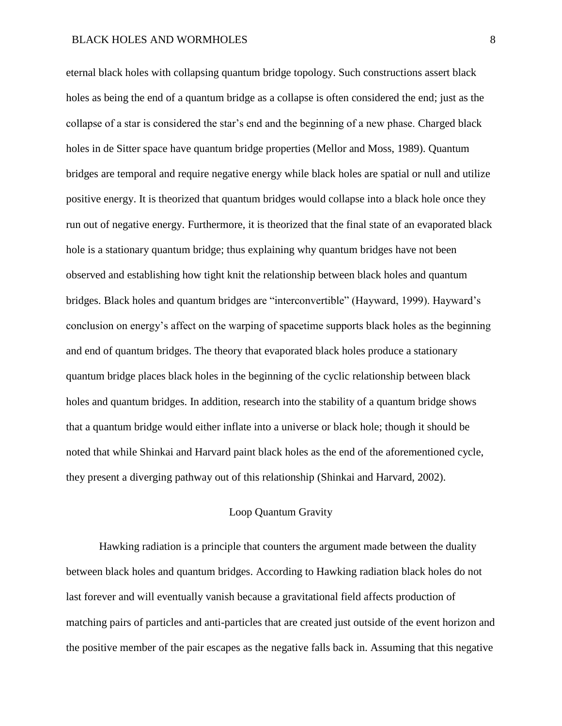eternal black holes with collapsing quantum bridge topology. Such constructions assert black holes as being the end of a quantum bridge as a collapse is often considered the end; just as the collapse of a star is considered the star's end and the beginning of a new phase. Charged black holes in de Sitter space have quantum bridge properties (Mellor and Moss, 1989). Quantum bridges are temporal and require negative energy while black holes are spatial or null and utilize positive energy. It is theorized that quantum bridges would collapse into a black hole once they run out of negative energy. Furthermore, it is theorized that the final state of an evaporated black hole is a stationary quantum bridge; thus explaining why quantum bridges have not been observed and establishing how tight knit the relationship between black holes and quantum bridges. Black holes and quantum bridges are "interconvertible" (Hayward, 1999). Hayward's conclusion on energy's affect on the warping of spacetime supports black holes as the beginning and end of quantum bridges. The theory that evaporated black holes produce a stationary quantum bridge places black holes in the beginning of the cyclic relationship between black holes and quantum bridges. In addition, research into the stability of a quantum bridge shows that a quantum bridge would either inflate into a universe or black hole; though it should be noted that while Shinkai and Harvard paint black holes as the end of the aforementioned cycle, they present a diverging pathway out of this relationship (Shinkai and Harvard, 2002).

# Loop Quantum Gravity

Hawking radiation is a principle that counters the argument made between the duality between black holes and quantum bridges. According to Hawking radiation black holes do not last forever and will eventually vanish because a gravitational field affects production of matching pairs of particles and anti-particles that are created just outside of the event horizon and the positive member of the pair escapes as the negative falls back in. Assuming that this negative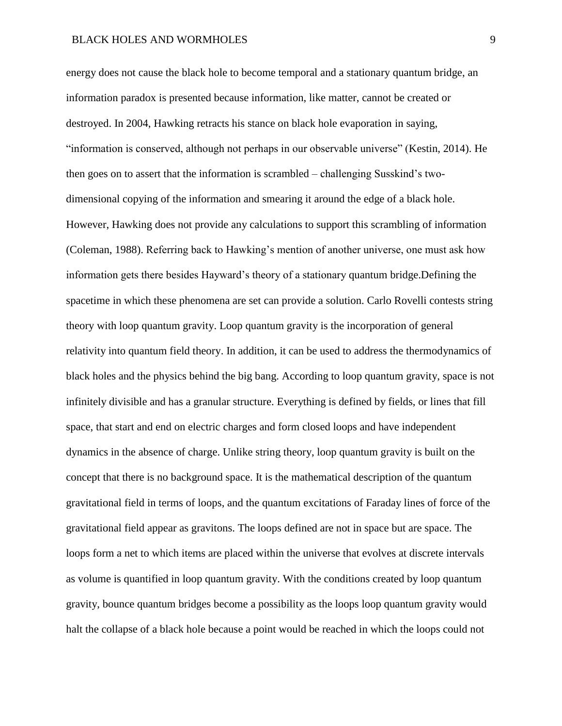energy does not cause the black hole to become temporal and a stationary quantum bridge, an information paradox is presented because information, like matter, cannot be created or destroyed. In 2004, Hawking retracts his stance on black hole evaporation in saying, "information is conserved, although not perhaps in our observable universe" (Kestin, 2014). He then goes on to assert that the information is scrambled – challenging Susskind's twodimensional copying of the information and smearing it around the edge of a black hole. However, Hawking does not provide any calculations to support this scrambling of information (Coleman, 1988). Referring back to Hawking's mention of another universe, one must ask how information gets there besides Hayward's theory of a stationary quantum bridge.Defining the spacetime in which these phenomena are set can provide a solution. Carlo Rovelli contests string theory with loop quantum gravity. Loop quantum gravity is the incorporation of general relativity into quantum field theory. In addition, it can be used to address the thermodynamics of black holes and the physics behind the big bang. According to loop quantum gravity, space is not infinitely divisible and has a granular structure. Everything is defined by fields, or lines that fill space, that start and end on electric charges and form closed loops and have independent dynamics in the absence of charge. Unlike string theory, loop quantum gravity is built on the concept that there is no background space. It is the mathematical description of the quantum gravitational field in terms of loops, and the quantum excitations of Faraday lines of force of the gravitational field appear as gravitons. The loops defined are not in space but are space. The loops form a net to which items are placed within the universe that evolves at discrete intervals as volume is quantified in loop quantum gravity. With the conditions created by loop quantum gravity, bounce quantum bridges become a possibility as the loops loop quantum gravity would halt the collapse of a black hole because a point would be reached in which the loops could not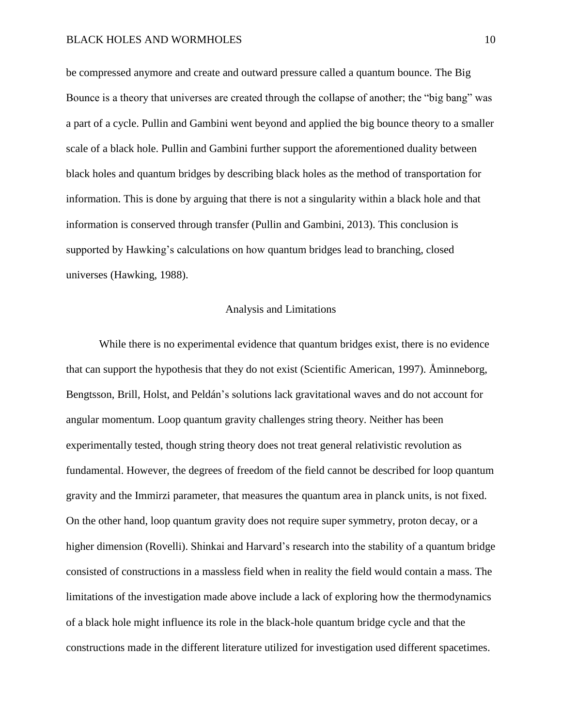be compressed anymore and create and outward pressure called a quantum bounce. The Big Bounce is a theory that universes are created through the collapse of another; the "big bang" was a part of a cycle. Pullin and Gambini went beyond and applied the big bounce theory to a smaller scale of a black hole. Pullin and Gambini further support the aforementioned duality between black holes and quantum bridges by describing black holes as the method of transportation for information. This is done by arguing that there is not a singularity within a black hole and that information is conserved through transfer (Pullin and Gambini, 2013). This conclusion is supported by Hawking's calculations on how quantum bridges lead to branching, closed universes (Hawking, 1988).

#### Analysis and Limitations

While there is no experimental evidence that quantum bridges exist, there is no evidence that can support the hypothesis that they do not exist (Scientific American, 1997). Åminneborg, Bengtsson, Brill, Holst, and Peldán's solutions lack gravitational waves and do not account for angular momentum. Loop quantum gravity challenges string theory. Neither has been experimentally tested, though string theory does not treat general relativistic revolution as fundamental. However, the degrees of freedom of the field cannot be described for loop quantum gravity and the Immirzi parameter, that measures the quantum area in planck units, is not fixed. On the other hand, loop quantum gravity does not require super symmetry, proton decay, or a higher dimension (Rovelli). Shinkai and Harvard's research into the stability of a quantum bridge consisted of constructions in a massless field when in reality the field would contain a mass. The limitations of the investigation made above include a lack of exploring how the thermodynamics of a black hole might influence its role in the black-hole quantum bridge cycle and that the constructions made in the different literature utilized for investigation used different spacetimes.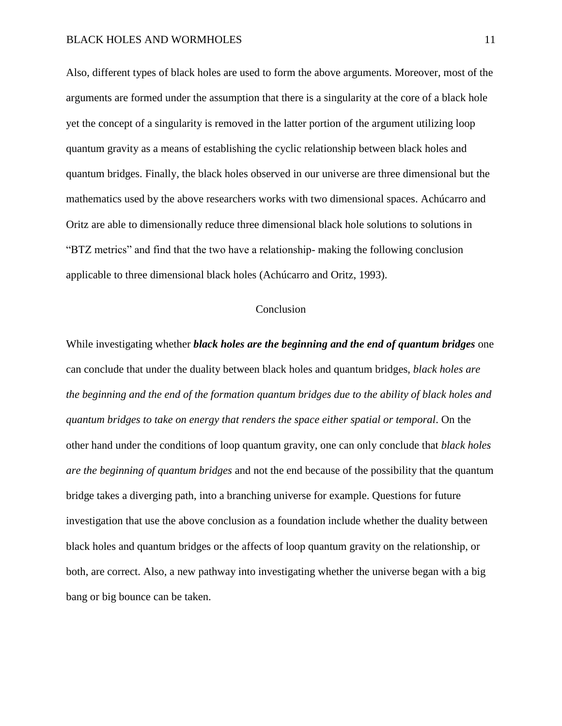Also, different types of black holes are used to form the above arguments. Moreover, most of the arguments are formed under the assumption that there is a singularity at the core of a black hole yet the concept of a singularity is removed in the latter portion of the argument utilizing loop quantum gravity as a means of establishing the cyclic relationship between black holes and quantum bridges. Finally, the black holes observed in our universe are three dimensional but the mathematics used by the above researchers works with two dimensional spaces. Achúcarro and Oritz are able to dimensionally reduce three dimensional black hole solutions to solutions in "BTZ metrics" and find that the two have a relationship- making the following conclusion applicable to three dimensional black holes (Achúcarro and Oritz, 1993).

#### **Conclusion**

While investigating whether *black holes are the beginning and the end of quantum bridges* one can conclude that under the duality between black holes and quantum bridges, *black holes are the beginning and the end of the formation quantum bridges due to the ability of black holes and quantum bridges to take on energy that renders the space either spatial or temporal*. On the other hand under the conditions of loop quantum gravity, one can only conclude that *black holes are the beginning of quantum bridges* and not the end because of the possibility that the quantum bridge takes a diverging path, into a branching universe for example. Questions for future investigation that use the above conclusion as a foundation include whether the duality between black holes and quantum bridges or the affects of loop quantum gravity on the relationship, or both, are correct. Also, a new pathway into investigating whether the universe began with a big bang or big bounce can be taken.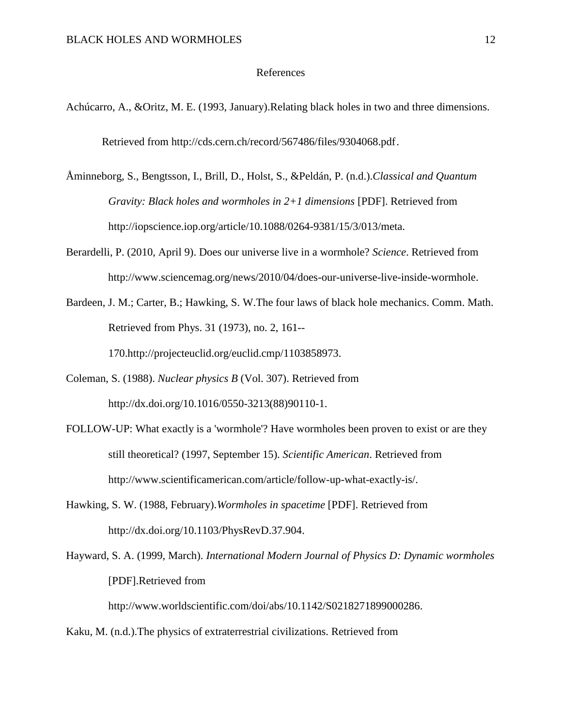#### References

- Achúcarro, A., &Oritz, M. E. (1993, January).Relating black holes in two and three dimensions. Retrieved from http://cds.cern.ch/record/567486/files/9304068.pdf.
- Åminneborg, S., Bengtsson, I., Brill, D., Holst, S., &Peldán, P. (n.d.).*Classical and Quantum Gravity: Black holes and wormholes in 2+1 dimensions* [PDF]. Retrieved from http://iopscience.iop.org/article/10.1088/0264-9381/15/3/013/meta.
- Berardelli, P. (2010, April 9). Does our universe live in a wormhole? *Science*. Retrieved from http://www.sciencemag.org/news/2010/04/does-our-universe-live-inside-wormhole.
- Bardeen, J. M.; Carter, B.; Hawking, S. W.The four laws of black hole mechanics. Comm. Math. Retrieved from Phys. 31 (1973), no. 2, 161--

170.http://projecteuclid.org/euclid.cmp/1103858973.

- Coleman, S. (1988). *Nuclear physics B* (Vol. 307). Retrieved from http://dx.doi.org/10.1016/0550-3213(88)90110-1.
- FOLLOW-UP: What exactly is a 'wormhole'? Have wormholes been proven to exist or are they still theoretical? (1997, September 15). *Scientific American*. Retrieved from http://www.scientificamerican.com/article/follow-up-what-exactly-is/.
- Hawking, S. W. (1988, February).*Wormholes in spacetime* [PDF]. Retrieved from http://dx.doi.org/10.1103/PhysRevD.37.904.
- Hayward, S. A. (1999, March). *International Modern Journal of Physics D: Dynamic wormholes* [PDF].Retrieved from

http://www.worldscientific.com/doi/abs/10.1142/S0218271899000286.

## Kaku, M. (n.d.).The physics of extraterrestrial civilizations. Retrieved from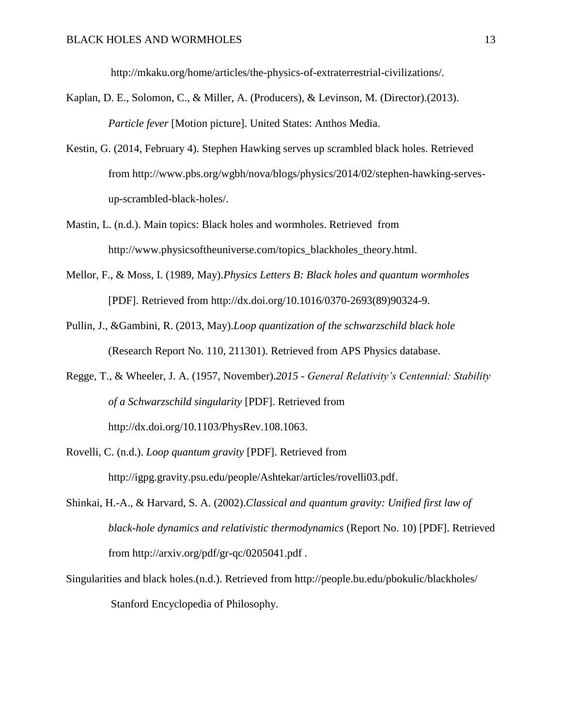http://mkaku.org/home/articles/the-physics-of-extraterrestrial-civilizations/.

- Kaplan, D. E., Solomon, C., & Miller, A. (Producers), & Levinson, M. (Director).(2013). *Particle fever* [Motion picture]. United States: Anthos Media.
- Kestin, G. (2014, February 4). Stephen Hawking serves up scrambled black holes. Retrieved from http://www.pbs.org/wgbh/nova/blogs/physics/2014/02/stephen-hawking-servesup-scrambled-black-holes/.
- Mastin, L. (n.d.). Main topics: Black holes and wormholes. Retrieved from http://www.physicsoftheuniverse.com/topics\_blackholes\_theory.html.
- Mellor, F., & Moss, I. (1989, May).*Physics Letters B: Black holes and quantum wormholes* [PDF]. Retrieved from http://dx.doi.org/10.1016/0370-2693(89)90324-9.
- Pullin, J., &Gambini, R. (2013, May).*Loop quantization of the schwarzschild black hole* (Research Report No. 110, 211301). Retrieved from APS Physics database.
- Regge, T., & Wheeler, J. A. (1957, November).*2015 - General Relativity's Centennial: Stability of a Schwarzschild singularity* [PDF]. Retrieved from http://dx.doi.org/10.1103/PhysRev.108.1063.
- Rovelli, C. (n.d.). *Loop quantum gravity* [PDF]. Retrieved from http://igpg.gravity.psu.edu/people/Ashtekar/articles/rovelli03.pdf.
- Shinkai, H.-A., & Harvard, S. A. (2002).*Classical and quantum gravity: Unified first law of black-hole dynamics and relativistic thermodynamics* (Report No. 10) [PDF]. Retrieved from http://arxiv.org/pdf/gr-qc/0205041.pdf .
- Singularities and black holes.(n.d.). Retrieved from http://people.bu.edu/pbokulic/blackholes/ Stanford Encyclopedia of Philosophy.